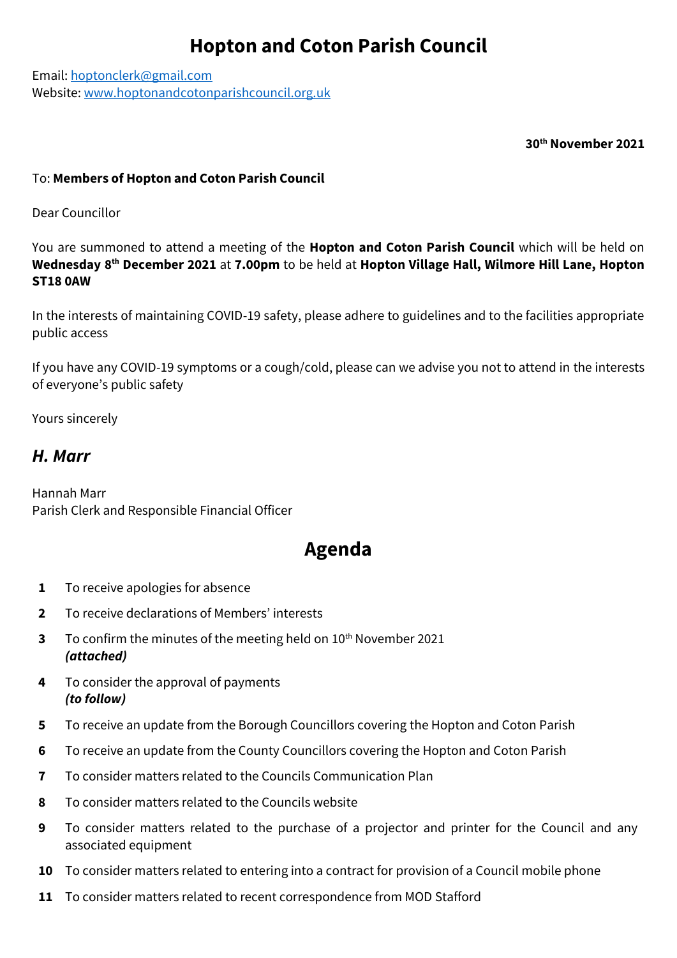## **Hopton and Coton Parish Council**

Email: [hoptonclerk@gmail.com](mailto:hoptonclerk@gmail.com) Website: [www.hoptonandcotonparishcouncil.org.uk](http://www.hoptonandcotonparishcouncil.org.uk/)

**30th November 2021**

## To: **Members of Hopton and Coton Parish Council**

Dear Councillor

You are summoned to attend a meeting of the **Hopton and Coton Parish Council** which will be held on **Wednesday 8 th December 2021** at **7.00pm** to be held at **Hopton Village Hall, Wilmore Hill Lane, Hopton ST18 0AW**

In the interests of maintaining COVID-19 safety, please adhere to guidelines and to the facilities appropriate public access

If you have any COVID-19 symptoms or a cough/cold, please can we advise you not to attend in the interests of everyone's public safety

Yours sincerely

## *H. Marr*

Hannah Marr Parish Clerk and Responsible Financial Officer

## **Agenda**

- **1** To receive apologies for absence
- **2** To receive declarations of Members' interests
- **3** To confirm the minutes of the meeting held on 10<sup>th</sup> November 2021 *(attached)*
- **4** To consider the approval of payments *(to follow)*
- **5** To receive an update from the Borough Councillors covering the Hopton and Coton Parish
- **6** To receive an update from the County Councillors covering the Hopton and Coton Parish
- **7** To consider matters related to the Councils Communication Plan
- **8** To consider matters related to the Councils website
- **9** To consider matters related to the purchase of a projector and printer for the Council and any associated equipment
- **10** To consider matters related to entering into a contract for provision of a Council mobile phone
- **11** To consider matters related to recent correspondence from MOD Stafford